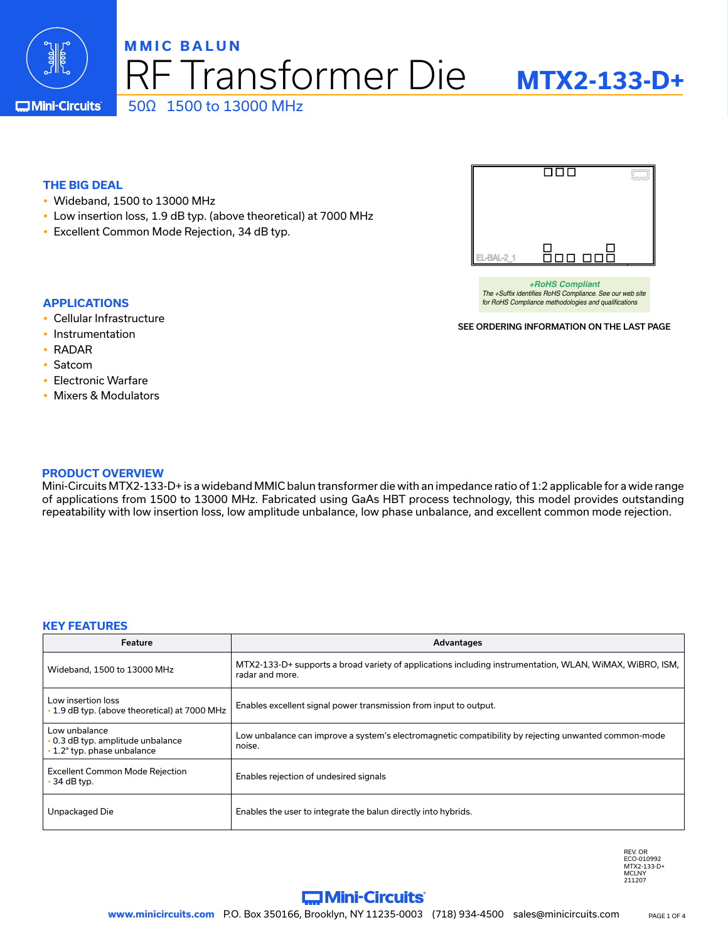

## F Transformer Die **MMIC BALUN** 50Ω 1500 to 13000 MHz

**Mini-Circuits** 

### **THE BIG DEAL**

- Wideband, 1500 to 13000 MHz
- Low insertion loss, 1.9 dB typ. (above theoretical) at 7000 MHz
- Excellent Common Mode Rejection, 34 dB typ.



*+RoHS Compliant The +Suffix identifies RoHS Compliance. See our web site for RoHS Compliance methodologies and qualifications*

SEE ORDERING INFORMATION ON THE LAST PAGE

- **APPLICATIONS**
- Cellular Infrastructure
- Instrumentation
- $\cdot$  RADAR
- Satcom
- Electronic Warfare
- Mixers & Modulators

#### **PRODUCT OVERVIEW**

Mini-Circuits MTX2-133-D+ is a wideband MMIC balun transformer die with an impedance ratio of 1:2 applicable for a wide range of applications from 1500 to 13000 MHz. Fabricated using GaAs HBT process technology, this model provides outstanding repeatability with low insertion loss, low amplitude unbalance, low phase unbalance, and excellent common mode rejection.

#### **KEY FEATURES**

| Feature                                                                           | Advantages                                                                                                                  |
|-----------------------------------------------------------------------------------|-----------------------------------------------------------------------------------------------------------------------------|
| Wideband, 1500 to 13000 MHz                                                       | MTX2-133-D+ supports a broad variety of applications including instrumentation, WLAN, WiMAX, WiBRO, ISM,<br>radar and more. |
| Low insertion loss<br>. 1.9 dB typ. (above theoretical) at 7000 MHz               | Enables excellent signal power transmission from input to output.                                                           |
| Low unbalance<br>. 0.3 dB typ. amplitude unbalance<br>• 1.2° typ. phase unbalance | Low unbalance can improve a system's electromagnetic compatibility by rejecting unwanted common-mode<br>noise.              |
| <b>Excellent Common Mode Rejection</b><br>$\cdot$ 34 dB typ.                      | Enables rejection of undesired signals                                                                                      |
| Unpackaged Die                                                                    | Enables the user to integrate the balun directly into hybrids.                                                              |

REV. OR ECO-010992 MTX2-133-D+ MCLNY 211207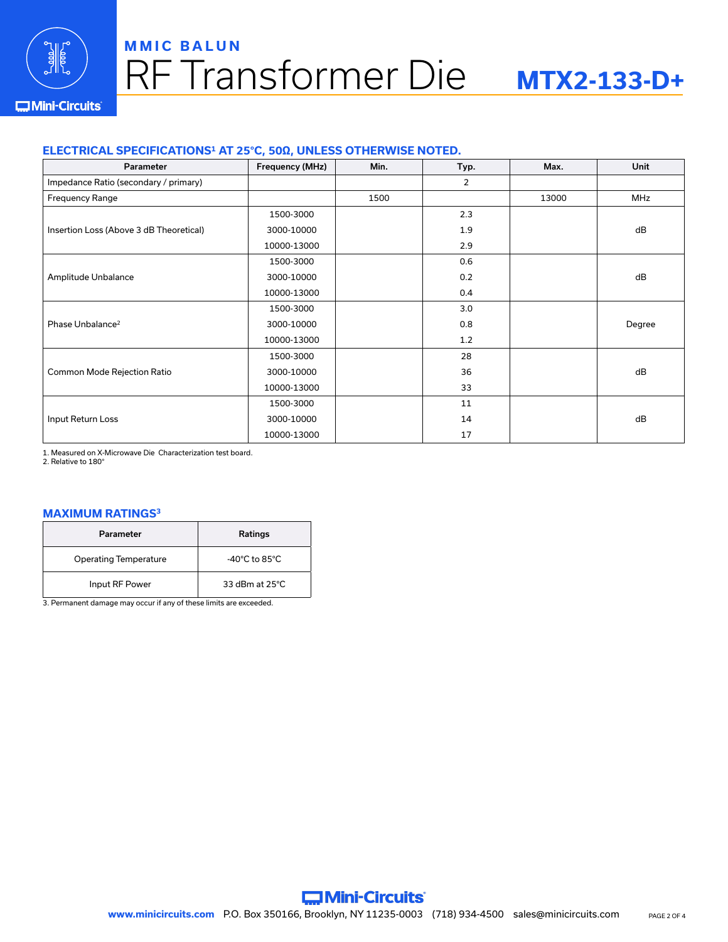

# RF Transformer Die **MMIC BALUN**

# **MTX2-133-D+**

#### **IMini-Circuits**

### **ELECTRICAL SPECIFICATIONS1 AT 25°C, 50Ω, UNLESS OTHERWISE NOTED.**

| Parameter                               | Frequency (MHz) | Min. | Typ.           | Max.  | Unit       |
|-----------------------------------------|-----------------|------|----------------|-------|------------|
| Impedance Ratio (secondary / primary)   |                 |      | $\overline{2}$ |       |            |
| <b>Frequency Range</b>                  |                 | 1500 |                | 13000 | <b>MHz</b> |
|                                         | 1500-3000       |      | 2.3            |       |            |
| Insertion Loss (Above 3 dB Theoretical) | 3000-10000      |      | 1.9            |       | dB         |
|                                         | 10000-13000     |      | 2.9            |       |            |
|                                         | 1500-3000       |      | 0.6            |       |            |
| Amplitude Unbalance                     | 3000-10000      |      | 0.2            |       | dB         |
|                                         | 10000-13000     |      | 0.4            |       |            |
|                                         | 1500-3000       |      | 3.0            |       |            |
| Phase Unbalance <sup>2</sup>            | 3000-10000      |      | 0.8            |       | Degree     |
|                                         | 10000-13000     |      | 1.2            |       |            |
|                                         | 1500-3000       |      | 28             |       |            |
| Common Mode Rejection Ratio             | 3000-10000      |      | 36             |       | dB         |
|                                         | 10000-13000     |      | 33             |       |            |
|                                         | 1500-3000       |      | 11             |       |            |
| Input Return Loss                       | 3000-10000      |      | 14             |       | dB         |
|                                         | 10000-13000     |      | 17             |       |            |

1. Measured on X-Microwave Die Characterization test board.

2. Relative to 180°

#### **MAXIMUM RATINGS3**

| Parameter                    | <b>Ratings</b>                     |
|------------------------------|------------------------------------|
| <b>Operating Temperature</b> | $-40^{\circ}$ C to 85 $^{\circ}$ C |
| Input RF Power               | 33 dBm at $25^{\circ}$ C           |

3. Permanent damage may occur if any of these limits are exceeded.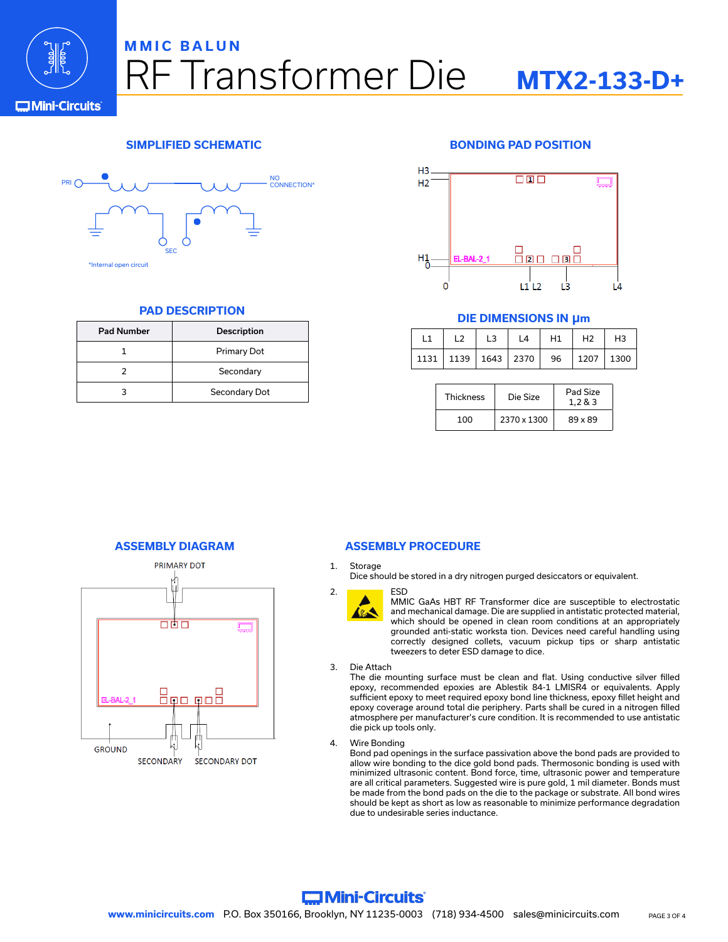

## RF Transformer Die **MMIC BALUN MTX2-133-D+**

**C**Mini-Circuits



#### **PAD DESCRIPTION**

| <b>Pad Number</b> | <b>Description</b> |
|-------------------|--------------------|
|                   | Primary Dot        |
|                   | Secondary          |
|                   | Secondary Dot      |

### **SIMPLIFIED SCHEMATIC BONDING PAD POSITION**



#### **DIE DIMENSIONS IN µm**

|                                              | L3 | L4 | H1 | H2 | H <sub>3</sub> |
|----------------------------------------------|----|----|----|----|----------------|
| 1131   1139   1643   2370   96   1207   1300 |    |    |    |    |                |

| <b>Thickness</b> | Pad Size<br>Die Size<br>1.2 & 3 |         |
|------------------|---------------------------------|---------|
| 100              | 2370 x 1300                     | 89 x 89 |



#### **ASSEMBLY DIAGRAM ASSEMBLY PROCEDURE**

#### 1. Storage

Dice should be stored in a dry nitrogen purged desiccators or equivalent.



MMIC GaAs HBT RF Transformer dice are susceptible to electrostatic and mechanical damage. Die are supplied in antistatic protected material, which should be opened in clean room conditions at an appropriately grounded anti-static worksta tion. Devices need careful handling using correctly designed collets, vacuum pickup tips or sharp antistatic tweezers to deter ESD damage to dice.

3. Die Attach

The die mounting surface must be clean and flat. Using conductive silver filled epoxy, recommended epoxies are Ablestik 84-1 LMISR4 or equivalents. Apply sufficient epoxy to meet required epoxy bond line thickness, epoxy fillet height and epoxy coverage around total die periphery. Parts shall be cured in a nitrogen filled atmosphere per manufacturer's cure condition. It is recommended to use antistatic die pick up tools only.

4. Wire Bonding

Bond pad openings in the surface passivation above the bond pads are provided to allow wire bonding to the dice gold bond pads. Thermosonic bonding is used with minimized ultrasonic content. Bond force, time, ultrasonic power and temperature are all critical parameters. Suggested wire is pure gold, 1 mil diameter. Bonds must be made from the bond pads on the die to the package or substrate. All bond wires should be kept as short as low as reasonable to minimize performance degradation due to undesirable series inductance.